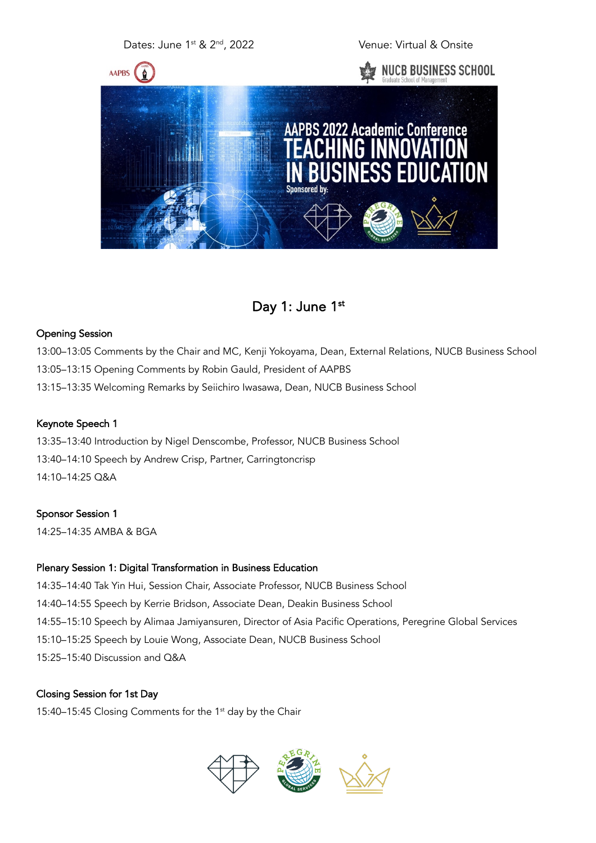# Dates: June 1<sup>st</sup> & 2<sup>nd</sup>, 2022 Venue: Virtual & Onsite



# Day 1: June 1st

### Opening Session

13:00–13:05 Comments by the Chair and MC, Kenji Yokoyama, Dean, External Relations, NUCB Business School 13:05–13:15 Opening Comments by Robin Gauld, President of AAPBS 13:15–13:35 Welcoming Remarks by Seiichiro Iwasawa, Dean, NUCB Business School

#### Keynote Speech 1

13:35–13:40 Introduction by Nigel Denscombe, Professor, NUCB Business School 13:40–14:10 Speech by Andrew Crisp, Partner, Carringtoncrisp 14:10–14:25 Q&A

# Sponsor Session 1

14:25–14:35 AMBA & BGA

### Plenary Session 1: Digital Transformation in Business Education

14:35–14:40 Tak Yin Hui, Session Chair, Associate Professor, NUCB Business School 14:40–14:55 Speech by Kerrie Bridson, Associate Dean, Deakin Business School 14:55–15:10 Speech by Alimaa Jamiyansuren, Director of Asia Pacific Operations, Peregrine Global Services 15:10–15:25 Speech by Louie Wong, Associate Dean, NUCB Business School 15:25–15:40 Discussion and Q&A

# Closing Session for 1st Day

15:40–15:45 Closing Comments for the 1st day by the Chair